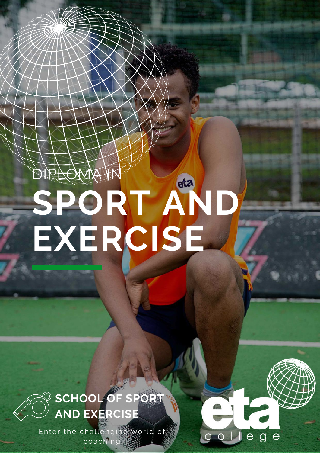# **SPORT AND [EXERCISE](https://www.etacollege.com/management-studies/diploma-sport-and-recreation-management/)** DIPLOMA IN



Enter the challenging world of coaching<sup>3</sup>



O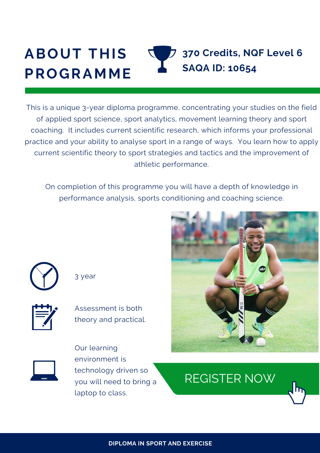#### **ABOUT THIS PROGRAMME 370 Credits, NQF Level 6 SAQA ID: 10654**

This is a unique 3-year diploma programme, concentrating your studies on the field of applied sport science, sport analytics, movement learning theory and sport coaching. It includes current scientific research, which informs your professional practice and your ability to analyse sport in a range of ways. You learn how to apply current scientific theory to sport strategies and tactics and the improvement of athletic performance.

On completion of this programme you will have a depth of knowledge in performance analysis, sports conditioning and coaching science.





| $\overline{I}$ |
|----------------|
| ear            |
|                |



Assessment is both theory and practical.



Our learning environment is technology driven so you will need to bring a laptop to class.

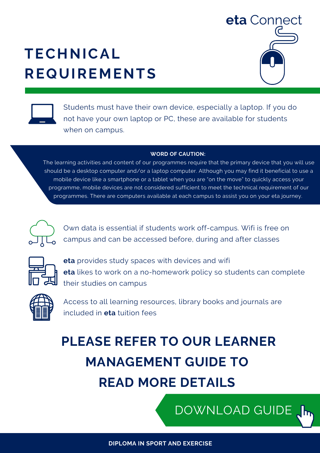### **TECHNICAL REQUIREMENTS**





Students must have their own device, especially a laptop. If you do not have your own laptop or PC, these are available for students when on campus.

#### **WORD OF CAUTION:**

The learning activities and content of our programmes require that the primary device that you will use should be a desktop computer and/or a laptop computer. Although you may find it beneficial to use a mobile device like a smartphone or a tablet when you are "on the move" to quickly access your programme, mobile devices are not considered sufficient to meet the technical requirement of our [programmes.](https://www.etacollege.com/admissions/online-applications/) There are computers available at each campus to assist you on your eta journey.



Own data is essential if students work off-campus. Wifi is free on campus and can be accessed before, during and after classes



**eta** provides study spaces with devices and wifi **eta** likes to work on a no-homework policy so students can complete their studies on campus



Access to all learning resources, library books and journals are included in **eta** tuition fees

# **PLEASE REFER TO OUR LEARNER MANAGEMENT GUIDE TO READ MORE DETAILS**

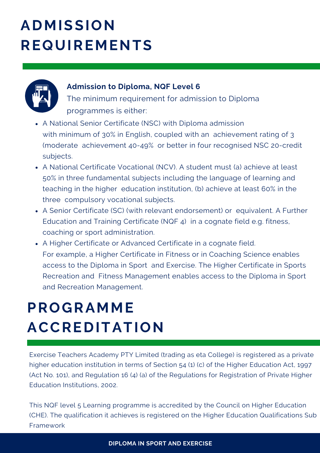## **ADMISSION REQUIREMENTS**



#### **Admission to Diploma, NQF Level 6**

The minimum requirement for admission to Diploma programmes is either:

- A National Senior Certificate (NSC) with Diploma admission with minimum of 30% in English, coupled with an achievement rating of 3 (moderate achievement 40-49% or better in four recognised NSC 20-credit subjects.
- A National Certificate Vocational (NCV). A student must (a) achieve at least 50% in three fundamental subjects including the language of learning and teaching in the higher education institution, (b) achieve at least 60% in the three compulsory vocational subjects.
- A Senior Certificate (SC) (with relevant endorsement) or equivalent. A Further Education and Training Certificate (NQF 4) in a cognate field e.g. fitness, coaching or sport administration.
- A Higher Certificate or Advanced Certificate in a cognate field. For example, a Higher Certificate in Fitness or in Coaching Science enables access to the Diploma in Sport and Exercise. The Higher Certificate in Sports Recreation and Fitness Management enables access to the Diploma in Sport and Recreation Management.

# **PROGRAMME ACCREDITATION**

Exercise Teachers Academy PTY Limited (trading as eta College) is registered as a private higher education institution in terms of Section 54 (1) (c) of the Higher Education Act, 1997 (Act No. 101), and Regulation 16 (4) (a) of the Regulations for Registration of Private Higher Education Institutions, 2002.

This NQF level 5 Learning programme is accredited by the Council on Higher Education (CHE). The qualification it achieves is registered on the Higher Education Qualifications Sub Framework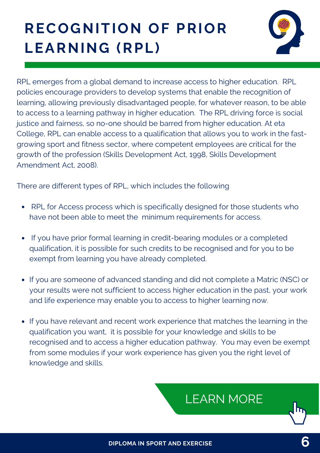# **RECOGNITION OF PRIOR LEARNING (RPL)**



RPL emerges from a global demand to increase access to higher education. RPL policies encourage providers to develop systems that enable the recognition of learning, allowing previously disadvantaged people, for whatever reason, to be able to access to a learning pathway in higher education. The RPL driving force is social justice and fairness, so no-one should be barred from higher education. At eta College, RPL can enable access to a qualification that allows you to work in the fastgrowing sport and fitness sector, where competent employees are critical for the growth of the profession (Skills Development Act, 1998, Skills Development Amendment Act, 2008).

There are different types of RPL, which includes the following

- RPL for Access process which is specifically designed for those students who have not been able to meet the minimum requirements for access.
- If you have prior formal learning in credit-bearing modules or a completed qualification, it is possible for such credits to be recognised and for you to be exempt from learning you have already completed.
- If you are someone of advanced standing and did not complete a Matric (NSC) or your results were not sufficient to access higher education in the past, your work and life experience may enable you to access to higher learning now.
- If you have relevant and recent work experience that matches the learning in the qualification you want, it is possible for your knowledge and skills to be recognised and to access a higher education pathway. You may even be exempt from some modules if your work experience has given you the right level of knowledge and skills.

### [LEARN](https://www.etacollege.com/educational-pathways/recognition-of-previous-education/) MORE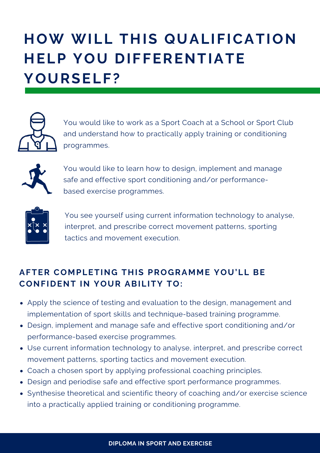# **HOW WILL THIS QUALIFICATION HELP YOU DIFFERENTIATE YOURSELF?**



You would like to work as a Sport Coach at a School or Sport Club and understand how to practically apply training or conditioning programmes.



You would like to learn how to design, implement and manage safe and effective sport conditioning and/or performancebased exercise programmes.



You see yourself using current information technology to analyse, interpret, and prescribe correct movement patterns, sporting tactics and movement execution.

#### **AFTER COMPLETING THIS PROGRAMME YOU'LL BE CONFIDENT IN YOUR ABILITY TO:**

- Apply the science of testing and evaluation to the design, management and implementation of sport skills and technique-based training programme.
- Design, implement and manage safe and effective sport conditioning and/or performance-based exercise programmes.
- Use current information technology to analyse, interpret, and prescribe correct movement patterns, sporting tactics and movement execution.
- Coach a chosen sport by applying professional coaching principles.
- Design and periodise safe and effective sport performance programmes.
- Synthesise theoretical and scientific theory of coaching and/or exercise science into a practically applied training or conditioning programme.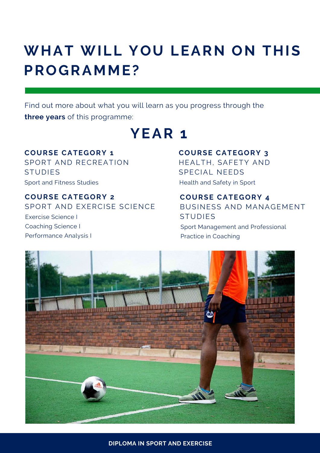### **WHAT WILL YOU LEARN ON THIS PROGRAMME?**

Find out more about what you will learn as you progress through the **three years** of this programme:

### **YEAR 1**

**COURSE CATEGORY 1** SPORT AND RECREATION STUDIES Sport and Fitness Studies

#### **COURSE CATEGORY 2**

SPORT AND EXERCISE SCIENCE Exercise Science I

Coaching Science I Performance Analysis I

#### **COURSE CATEGORY 3**

HEALTH, SAFETY AND SPECIAL NEEDS Health and Safety in Sport

#### **COURSE CATEGORY 4**

BUSINESS AND MANAGEMENT STUDIES Sport Management and Professional Practice in Coaching

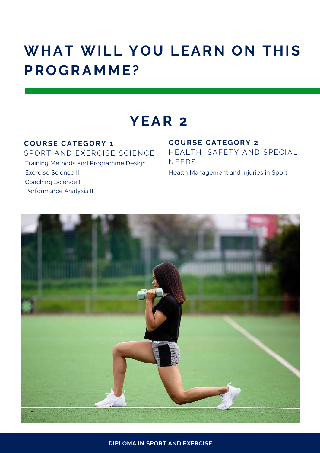### **WHAT WILL YOU LEARN ON THIS PROGRAMME?**

### **YEAR 2**

#### **COURSE CATEGORY 1** SPORT AND EXERCISE SCIENCE

Training Methods and Programme Design Exercise Science II Coaching Science II Performance Analysis II

**COURSE CATEGORY 2** HEALTH, SAFETY AND SPECIAL NEEDS Health Management and Injuries in Sport

![](_page_7_Picture_5.jpeg)

**DIPLOMA IN SPORT AND EXERCISE**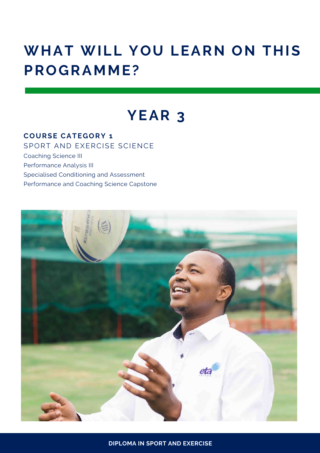### **WHAT WILL YOU LEARN ON THIS PROGRAMME?**

### **YEAR 3**

#### **COURSE CATEGORY 1**

SPORT AND EXERCISE SCIENCE

Coaching Science III

Performance Analysis III

Specialised Conditioning and Assessment

Performance and Coaching Science Capstone

![](_page_8_Picture_8.jpeg)

**DIPLOMA IN SPORT AND EXERCISE**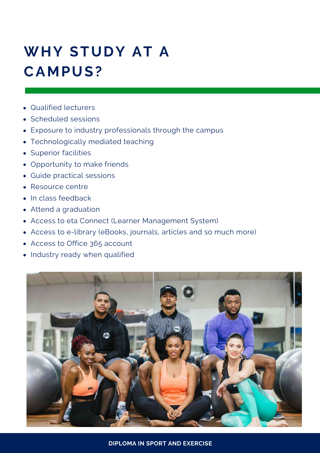# **WHY STUDY AT A CAMPUS?**

- Qualified lecturers
- Scheduled sessions
- Exposure to industry professionals through the campus
- Technologically mediated teaching
- Superior facilities
- Opportunity to make friends
- Guide practical sessions
- Resource centre
- In class feedback
- Attend a graduation
- Access to eta Connect (Learner Management System)
- Access to e-library (eBooks, journals, articles and so much more)
- Access to Office 365 account
- Industry ready when qualified

![](_page_9_Picture_15.jpeg)

**DIPLOMA IN SPORT AND EXERCISE**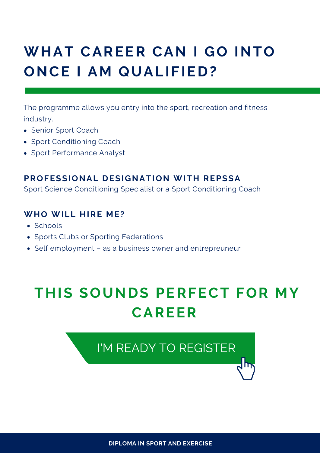## **WHAT CAREER CAN I GO INTO ONCE I AM QUALIFIED?**

The programme allows you entry into the sport, recreation and fitness industry.

- Senior Sport Coach
- Sport Conditioning Coach
- Sport Performance Analyst

#### **PROFESSIONAL DESIGNATION WITH REPSSA**

Sport Science Conditioning Specialist or a Sport Conditioning Coach

#### **WHO WILL HIRE ME?**

- Schools
- Sports Clubs or Sporting Federations
- Self employment as a business owner and entrepreuneur

### **THIS SOUNDS PERFECT FOR MY CAREER**

I'M READY TO [REGISTER](https://www.etacollege.com/admissions/online-applications/)